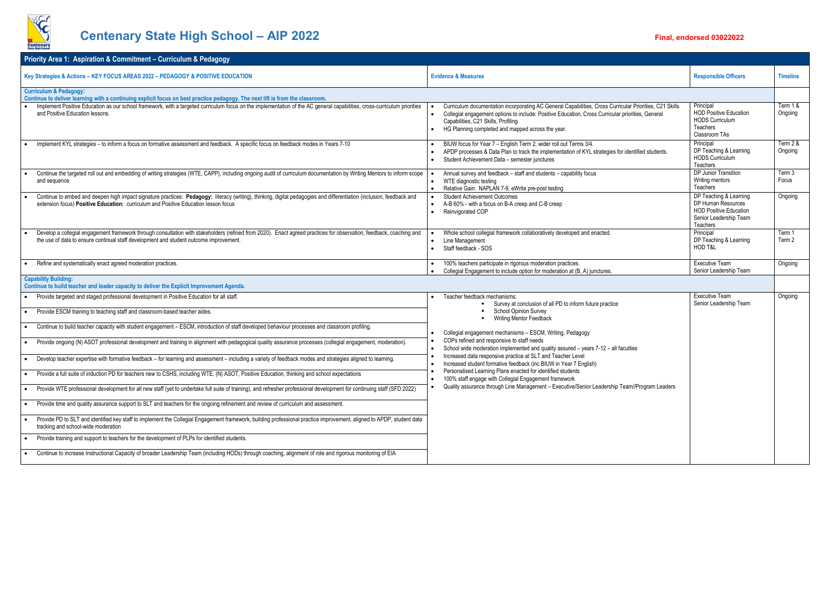

## **Centenary State High School - AIP 2022 Final, endorsed 03022022 Final, endorsed 03022022**

|                                              | <b>Responsible Officers</b>                                                                                         | <b>Timeline</b>     |
|----------------------------------------------|---------------------------------------------------------------------------------------------------------------------|---------------------|
|                                              |                                                                                                                     |                     |
| r Priorities, C21 Skills<br>prities, General | Principal<br><b>HOD Positive Education</b><br><b>HODS Curriculum</b><br><b>Teachers</b><br>Classroom TAs            | Term 1 &<br>Ongoing |
| entified students.                           | Principal<br>DP Teaching & Learning<br><b>HODS Curriculum</b><br>Teachers                                           | Term 2 &<br>Ongoing |
|                                              | DP Junior Transition<br>Writing mentors<br><b>Teachers</b>                                                          | Term 3<br>Focus     |
|                                              | DP Teaching & Learning<br>DP Human Resources<br><b>HOD Positive Education</b><br>Senior Leadership Team<br>Teachers | Ongoing             |
|                                              | Principal<br>DP Teaching & Learning<br>HOD T&L                                                                      | Term 1<br>Term 2    |
|                                              | <b>Executive Team</b><br>Senior Leadership Team                                                                     | Ongoing             |
|                                              |                                                                                                                     |                     |
| ties                                         | Executive Team<br>Senior Leadership Team                                                                            | Ongoing             |
| n//Program Leaders                           |                                                                                                                     |                     |
|                                              |                                                                                                                     |                     |

| <b>Priority Area 1: Aspiration &amp; Commitment – Curriculum &amp; Pedagogy</b>                                                                                                                                                                               |                                                                                                                                                                                                                                                                                                                       |                                                                                                                     |                     |
|---------------------------------------------------------------------------------------------------------------------------------------------------------------------------------------------------------------------------------------------------------------|-----------------------------------------------------------------------------------------------------------------------------------------------------------------------------------------------------------------------------------------------------------------------------------------------------------------------|---------------------------------------------------------------------------------------------------------------------|---------------------|
| Key Strategies & Actions - KEY FOCUS AREAS 2022 - PEDAGOGY & POSITIVE EDUCATION                                                                                                                                                                               | <b>Evidence &amp; Measures</b>                                                                                                                                                                                                                                                                                        | <b>Responsible Officers</b>                                                                                         | <b>Timeline</b>     |
| <b>Curriculum &amp; Pedagogy:</b><br>Continue to deliver learning with a continuing explicit focus on best practice pedagogy. The next lift is from the classroom.                                                                                            |                                                                                                                                                                                                                                                                                                                       |                                                                                                                     |                     |
| Implement Positive Education as our school framework, with a targeted curriculum focus on the implementation of the AC general capabilities, cross-curriculum priorities<br>and Positive Education lessons.                                                   | Curriculum documentation incorporating AC General Capabilities, Cross Curricular Priorities, C21 Skills<br>Collegial engagement options to include: Positive Education, Cross Curricular priorities, General<br>$\bullet$<br>Capabilities, C21 Skills, Profiling<br>HG Planning completed and mapped across the year. | Principal<br><b>HOD Positive Education</b><br><b>HODS Curriculum</b><br><b>Teachers</b><br>Classroom TAs            | Term 18<br>Ongoing  |
| Implement KYL strategies - to inform a focus on formative assessment and feedback. A specific focus on feedback modes in Years 7-10                                                                                                                           | BIUW focus for Year 7 - English Term 2, wider roll out Terms 3/4.<br>APDP processes & Data Plan to track the implementation of KYL strategies for identified students.<br>Student Achievement Data - semester junctures<br>$\bullet$                                                                                  | Principal<br>DP Teaching & Learning<br><b>HODS Curriculum</b><br>Teachers                                           | Term 2 8<br>Ongoing |
| Continue the targeted roll out and embedding of writing strategies (WTE, CAPP), including ongoing audit of curriculum documentation by Writing Mentors to inform scope<br>and sequence.                                                                       | Annual survey and feedback - staff and students - capability focus<br>WTE diagnostic testing<br>$\bullet$<br>Relative Gain: NAPLAN 7-9, eWrite pre-post testing                                                                                                                                                       | DP Junior Transition<br>Writing mentors<br>Teachers                                                                 | Term 3<br>Focus     |
| Continue to embed and deepen high impact signature practices: Pedagogy: literacy (writing), thinking, digital pedagogies and differentiation (inclusion, feedback and<br>extension focus) Positive Education: curriculum and Positive Education lesson focus  | <b>Student Achievement Outcomes</b><br>A-B 60% - with a focus on B-A creep and C-B creep<br>Reinvigorated COP<br>$\bullet$                                                                                                                                                                                            | DP Teaching & Learning<br>DP Human Resources<br><b>HOD Positive Education</b><br>Senior Leadership Team<br>Teachers | Ongoing             |
| Develop a collegial engagement framework through consultation with stakeholders (refined from 2020). Enact agreed practices for observation, feedback, coaching and<br>the use of data to ensure continual staff development and student outcome improvement. | Whole school collegial framework collaboratively developed and enacted.<br>Line Management<br>$\bullet$<br>Staff feedback - SOS<br>$\bullet$                                                                                                                                                                          | Principal<br>DP Teaching & Learning<br>HOD T&L                                                                      | Term 1<br>Term 2    |
| Refine and systematically enact agreed moderation practices.                                                                                                                                                                                                  | 100% teachers participate in rigorous moderation practices.<br>Collegial Engagement to include option for moderation at (B, A) junctures.                                                                                                                                                                             | <b>Executive Team</b><br>Senior Leadership Team                                                                     | Ongoing             |
| <b>Capability Building:</b><br>Continue to build teacher and leader capacity to deliver the Explicit Improvement Agenda.                                                                                                                                      |                                                                                                                                                                                                                                                                                                                       |                                                                                                                     |                     |
| Provide targeted and staged professional development in Positive Education for all staff.                                                                                                                                                                     | Teacher feedback mechanisms:<br>Survey at conclusion of all PD to inform future practice                                                                                                                                                                                                                              | <b>Executive Team</b><br>Senior Leadership Team                                                                     | Ongoing             |
| Provide ESCM training to teaching staff and classroom-based teacher aides.                                                                                                                                                                                    | School Opinion Survey<br><b>Writing Mentor Feedback</b><br>$\blacksquare$                                                                                                                                                                                                                                             |                                                                                                                     |                     |
| Continue to build teacher capacity with student engagement - ESCM, introduction of staff developed behaviour processes and classroom profiling.<br>$\bullet$                                                                                                  | Collegial engagement mechanisms - ESCM, Writing, Pedagogy                                                                                                                                                                                                                                                             |                                                                                                                     |                     |
| Provide ongoing (N) ASOT professional development and training in alignment with pedagogical quality assurance processes (collegial engagement, moderation).                                                                                                  | COPs refined and responsive to staff needs<br>School wide moderation implemented and quality assured - years 7-12 - all faculties<br>$\bullet$                                                                                                                                                                        |                                                                                                                     |                     |
| Develop teacher expertise with formative feedback – for learning and assessment – including a variety of feedback modes and strategies aligned to learning.                                                                                                   | Increased data responsive practice at SLT and Teacher Level<br>Increased student formative feedback (inc BIUW in Year 7 English)                                                                                                                                                                                      |                                                                                                                     |                     |
| Provide a full suite of induction PD for teachers new to CSHS, including WTE, (N) ASOT, Positive Education, thinking and school expectations                                                                                                                  | Personalised Learning Plans enacted for identified students<br>100% staff engage with Collegial Engagement framework<br>$\bullet$                                                                                                                                                                                     |                                                                                                                     |                     |
| Provide WTE professional development for all new staff (yet to undertake full suite of training), and refresher professional development for continuing staff (SFD 2022)                                                                                      | Quality assurance through Line Management - Executive/Senior Leadership Team//Program Leaders                                                                                                                                                                                                                         |                                                                                                                     |                     |
| Provide time and quality assurance support to SLT and teachers for the ongoing refinement and review of curriculum and assessment.                                                                                                                            |                                                                                                                                                                                                                                                                                                                       |                                                                                                                     |                     |
| Provide PD to SLT and identified key staff to implement the Collegial Engagement framework, building professional practice improvement, aligned to APDP, student data<br>tracking and school-wide moderation                                                  |                                                                                                                                                                                                                                                                                                                       |                                                                                                                     |                     |
| Provide training and support to teachers for the development of PLPs for identified students.                                                                                                                                                                 |                                                                                                                                                                                                                                                                                                                       |                                                                                                                     |                     |
| Continue to increase Instructional Capacity of broader Leadership Team (including HODs) through coaching, alignment of role and rigorous monitoring of EIA                                                                                                    |                                                                                                                                                                                                                                                                                                                       |                                                                                                                     |                     |